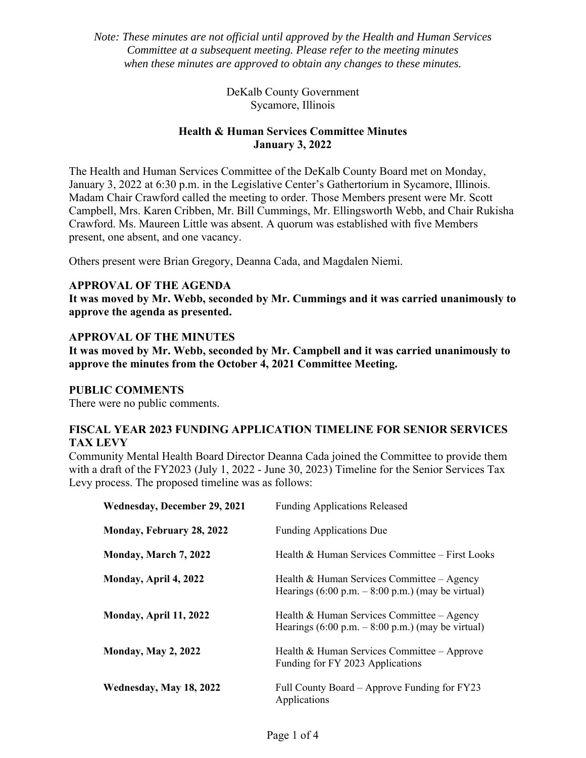*Note: These minutes are not official until approved by the Health and Human Services Committee at a subsequent meeting. Please refer to the meeting minutes when these minutes are approved to obtain any changes to these minutes.* 

> DeKalb County Government Sycamore, Illinois

# **Health & Human Services Committee Minutes January 3, 2022**

The Health and Human Services Committee of the DeKalb County Board met on Monday, January 3, 2022 at 6:30 p.m. in the Legislative Center's Gathertorium in Sycamore, Illinois. Madam Chair Crawford called the meeting to order. Those Members present were Mr. Scott Campbell, Mrs. Karen Cribben, Mr. Bill Cummings, Mr. Ellingsworth Webb, and Chair Rukisha Crawford. Ms. Maureen Little was absent. A quorum was established with five Members present, one absent, and one vacancy.

Others present were Brian Gregory, Deanna Cada, and Magdalen Niemi.

### **APPROVAL OF THE AGENDA**

**It was moved by Mr. Webb, seconded by Mr. Cummings and it was carried unanimously to approve the agenda as presented.** 

### **APPROVAL OF THE MINUTES**

**It was moved by Mr. Webb, seconded by Mr. Campbell and it was carried unanimously to approve the minutes from the October 4, 2021 Committee Meeting.** 

### **PUBLIC COMMENTS**

There were no public comments.

### **FISCAL YEAR 2023 FUNDING APPLICATION TIMELINE FOR SENIOR SERVICES TAX LEVY**

Community Mental Health Board Director Deanna Cada joined the Committee to provide them with a draft of the FY2023 (July 1, 2022 - June 30, 2023) Timeline for the Senior Services Tax Levy process. The proposed timeline was as follows:

| Wednesday, December 29, 2021 | <b>Funding Applications Released</b>                                                                              |
|------------------------------|-------------------------------------------------------------------------------------------------------------------|
| Monday, February 28, 2022    | <b>Funding Applications Due</b>                                                                                   |
| Monday, March 7, 2022        | Health & Human Services Committee - First Looks                                                                   |
| Monday, April 4, 2022        | Health & Human Services Committee – Agency<br>Hearings $(6.00 \text{ p.m.} - 8.00 \text{ p.m.})$ (may be virtual) |
| Monday, April 11, 2022       | Health & Human Services Committee – Agency<br>Hearings $(6.00 \text{ p.m.} - 8.00 \text{ p.m.})$ (may be virtual) |
| <b>Monday, May 2, 2022</b>   | Health & Human Services Committee – Approve<br>Funding for FY 2023 Applications                                   |
| Wednesday, May 18, 2022      | Full County Board – Approve Funding for FY23<br>Applications                                                      |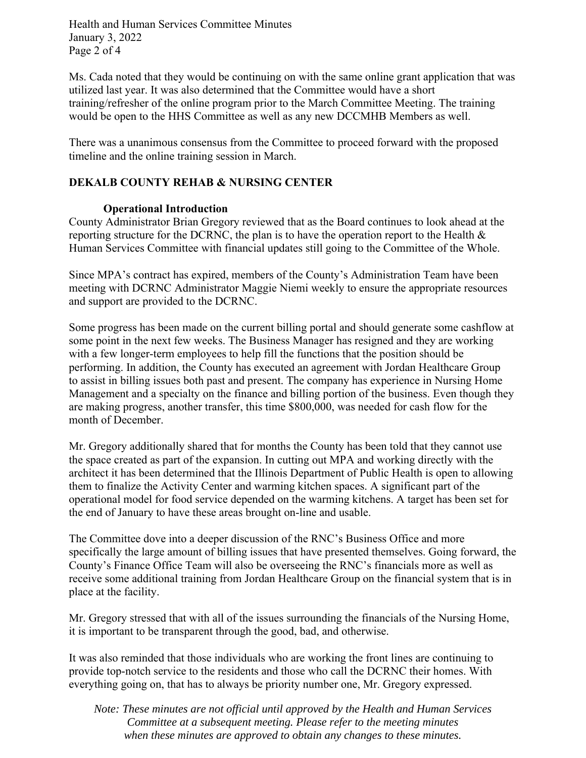Health and Human Services Committee Minutes January 3, 2022 Page 2 of 4

Ms. Cada noted that they would be continuing on with the same online grant application that was utilized last year. It was also determined that the Committee would have a short training/refresher of the online program prior to the March Committee Meeting. The training would be open to the HHS Committee as well as any new DCCMHB Members as well.

There was a unanimous consensus from the Committee to proceed forward with the proposed timeline and the online training session in March.

# **DEKALB COUNTY REHAB & NURSING CENTER**

### **Operational Introduction**

County Administrator Brian Gregory reviewed that as the Board continues to look ahead at the reporting structure for the DCRNC, the plan is to have the operation report to the Health & Human Services Committee with financial updates still going to the Committee of the Whole.

Since MPA's contract has expired, members of the County's Administration Team have been meeting with DCRNC Administrator Maggie Niemi weekly to ensure the appropriate resources and support are provided to the DCRNC.

Some progress has been made on the current billing portal and should generate some cashflow at some point in the next few weeks. The Business Manager has resigned and they are working with a few longer-term employees to help fill the functions that the position should be performing. In addition, the County has executed an agreement with Jordan Healthcare Group to assist in billing issues both past and present. The company has experience in Nursing Home Management and a specialty on the finance and billing portion of the business. Even though they are making progress, another transfer, this time \$800,000, was needed for cash flow for the month of December.

Mr. Gregory additionally shared that for months the County has been told that they cannot use the space created as part of the expansion. In cutting out MPA and working directly with the architect it has been determined that the Illinois Department of Public Health is open to allowing them to finalize the Activity Center and warming kitchen spaces. A significant part of the operational model for food service depended on the warming kitchens. A target has been set for the end of January to have these areas brought on-line and usable.

The Committee dove into a deeper discussion of the RNC's Business Office and more specifically the large amount of billing issues that have presented themselves. Going forward, the County's Finance Office Team will also be overseeing the RNC's financials more as well as receive some additional training from Jordan Healthcare Group on the financial system that is in place at the facility.

Mr. Gregory stressed that with all of the issues surrounding the financials of the Nursing Home, it is important to be transparent through the good, bad, and otherwise.

It was also reminded that those individuals who are working the front lines are continuing to provide top-notch service to the residents and those who call the DCRNC their homes. With everything going on, that has to always be priority number one, Mr. Gregory expressed.

*Note: These minutes are not official until approved by the Health and Human Services Committee at a subsequent meeting. Please refer to the meeting minutes when these minutes are approved to obtain any changes to these minutes.*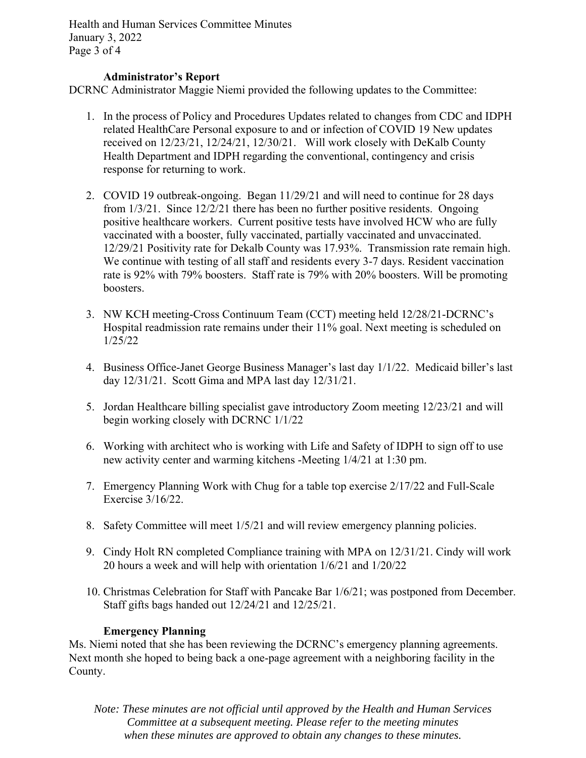Health and Human Services Committee Minutes January 3, 2022 Page 3 of 4

### **Administrator's Report**

DCRNC Administrator Maggie Niemi provided the following updates to the Committee:

- 1. In the process of Policy and Procedures Updates related to changes from CDC and IDPH related HealthCare Personal exposure to and or infection of COVID 19 New updates received on 12/23/21, 12/24/21, 12/30/21. Will work closely with DeKalb County Health Department and IDPH regarding the conventional, contingency and crisis response for returning to work.
- 2. COVID 19 outbreak-ongoing. Began 11/29/21 and will need to continue for 28 days from 1/3/21. Since 12/2/21 there has been no further positive residents. Ongoing positive healthcare workers. Current positive tests have involved HCW who are fully vaccinated with a booster, fully vaccinated, partially vaccinated and unvaccinated. 12/29/21 Positivity rate for Dekalb County was 17.93%. Transmission rate remain high. We continue with testing of all staff and residents every 3-7 days. Resident vaccination rate is 92% with 79% boosters. Staff rate is 79% with 20% boosters. Will be promoting boosters.
- 3. NW KCH meeting-Cross Continuum Team (CCT) meeting held 12/28/21-DCRNC's Hospital readmission rate remains under their 11% goal. Next meeting is scheduled on 1/25/22
- 4. Business Office-Janet George Business Manager's last day 1/1/22. Medicaid biller's last day 12/31/21. Scott Gima and MPA last day 12/31/21.
- 5. Jordan Healthcare billing specialist gave introductory Zoom meeting 12/23/21 and will begin working closely with DCRNC 1/1/22
- 6. Working with architect who is working with Life and Safety of IDPH to sign off to use new activity center and warming kitchens -Meeting 1/4/21 at 1:30 pm.
- 7. Emergency Planning Work with Chug for a table top exercise 2/17/22 and Full-Scale Exercise 3/16/22.
- 8. Safety Committee will meet 1/5/21 and will review emergency planning policies.
- 9. Cindy Holt RN completed Compliance training with MPA on 12/31/21. Cindy will work 20 hours a week and will help with orientation 1/6/21 and 1/20/22
- 10. Christmas Celebration for Staff with Pancake Bar 1/6/21; was postponed from December. Staff gifts bags handed out 12/24/21 and 12/25/21.

#### **Emergency Planning**

Ms. Niemi noted that she has been reviewing the DCRNC's emergency planning agreements. Next month she hoped to being back a one-page agreement with a neighboring facility in the County.

*Note: These minutes are not official until approved by the Health and Human Services Committee at a subsequent meeting. Please refer to the meeting minutes when these minutes are approved to obtain any changes to these minutes.*